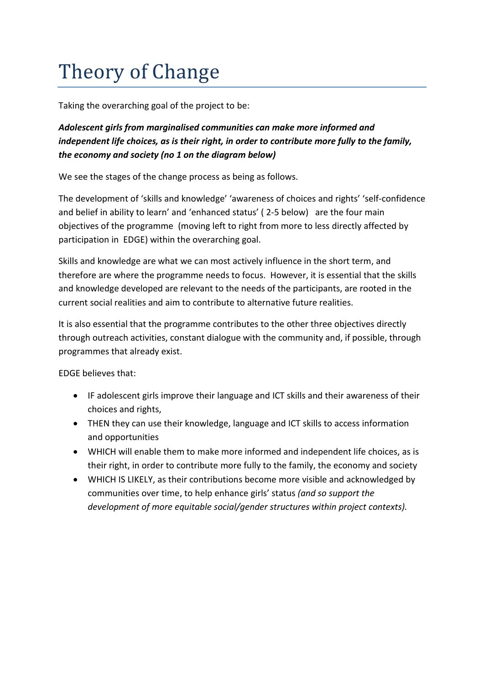## Theory of Change

Taking the overarching goal of the project to be:

## *Adolescent girls from marginalised communities can make more informed and independent life choices, as is their right, in order to contribute more fully to the family, the economy and society (no 1 on the diagram below)*

We see the stages of the change process as being as follows.

The development of 'skills and knowledge' 'awareness of choices and rights' 'self-confidence and belief in ability to learn' and 'enhanced status' ( 2-5 below) are the four main objectives of the programme (moving left to right from more to less directly affected by participation in EDGE) within the overarching goal.

Skills and knowledge are what we can most actively influence in the short term, and therefore are where the programme needs to focus. However, it is essential that the skills and knowledge developed are relevant to the needs of the participants, are rooted in the current social realities and aim to contribute to alternative future realities.

It is also essential that the programme contributes to the other three objectives directly through outreach activities, constant dialogue with the community and, if possible, through programmes that already exist.

EDGE believes that:

- IF adolescent girls improve their language and ICT skills and their awareness of their choices and rights,
- THEN they can use their knowledge, language and ICT skills to access information and opportunities
- WHICH will enable them to make more informed and independent life choices, as is their right, in order to contribute more fully to the family, the economy and society
- WHICH IS LIKELY, as their contributions become more visible and acknowledged by communities over time, to help enhance girls' status *(and so support the development of more equitable social/gender structures within project contexts).*